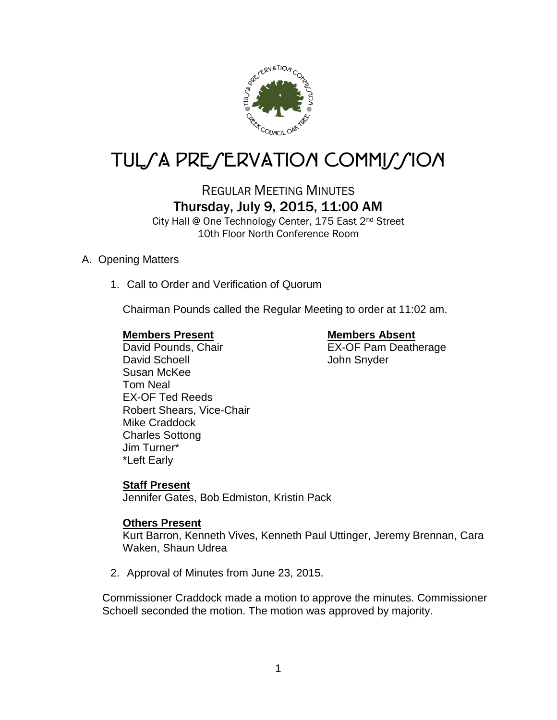

# TUL*SA PRESERVATION COMMISSION*

## REGULAR MEETING MINUTES Thursday, July 9, 2015, 11:00 AM

City Hall @ One Technology Center, 175 East 2nd Street 10th Floor North Conference Room

### A. Opening Matters

1. Call to Order and Verification of Quorum

Chairman Pounds called the Regular Meeting to order at 11:02 am.

### **Members Present Members Absent**

### David Pounds, Chair **EX-OF Pam Deatherage** David Schoell **David Schoell** John Snyder Susan McKee Tom Neal EX-OF Ted Reeds Robert Shears, Vice-Chair Mike Craddock Charles Sottong Jim Turner\* \*Left Early

### **Staff Present**

Jennifer Gates, Bob Edmiston, Kristin Pack

### **Others Present**

Kurt Barron, Kenneth Vives, Kenneth Paul Uttinger, Jeremy Brennan, Cara Waken, Shaun Udrea

2. Approval of Minutes from June 23, 2015.

Commissioner Craddock made a motion to approve the minutes. Commissioner Schoell seconded the motion. The motion was approved by majority.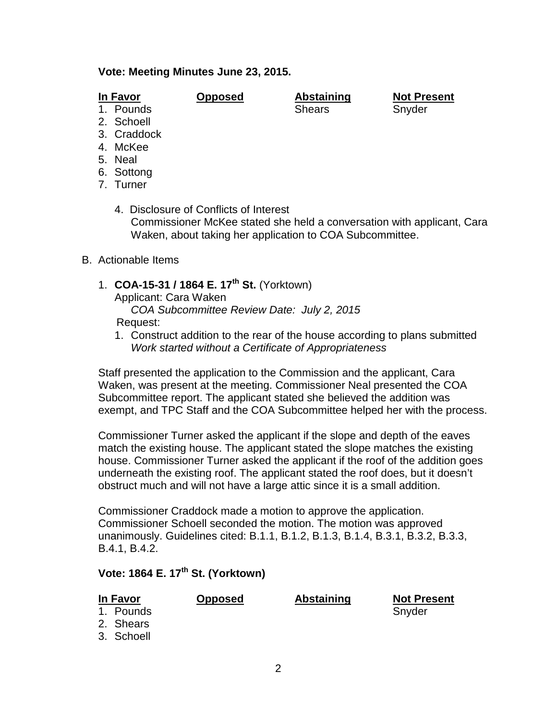### **Vote: Meeting Minutes June 23, 2015.**

### **In Favor Opposed Abstaining Not Present**

1. Pounds Shears Shears Snyder

- 2. Schoell
- 3. Craddock
- 4. McKee
- 5. Neal
- 6. Sottong
- 7. Turner

4. Disclosure of Conflicts of Interest Commissioner McKee stated she held a conversation with applicant, Cara Waken, about taking her application to COA Subcommittee.

- B. Actionable Items
	- 1. **COA-15-31 / 1864 E. 17th St.** (Yorktown)
		- Applicant: Cara Waken *COA Subcommittee Review Date: July 2, 2015* Request:
		- 1. Construct addition to the rear of the house according to plans submitted *Work started without a Certificate of Appropriateness*

Staff presented the application to the Commission and the applicant, Cara Waken, was present at the meeting. Commissioner Neal presented the COA Subcommittee report. The applicant stated she believed the addition was exempt, and TPC Staff and the COA Subcommittee helped her with the process.

Commissioner Turner asked the applicant if the slope and depth of the eaves match the existing house. The applicant stated the slope matches the existing house. Commissioner Turner asked the applicant if the roof of the addition goes underneath the existing roof. The applicant stated the roof does, but it doesn't obstruct much and will not have a large attic since it is a small addition.

Commissioner Craddock made a motion to approve the application. Commissioner Schoell seconded the motion. The motion was approved unanimously. Guidelines cited: B.1.1, B.1.2, B.1.3, B.1.4, B.3.1, B.3.2, B.3.3, B.4.1, B.4.2.

# **Vote: 1864 E. 17th St. (Yorktown)**

| In Favor |                                      | <b>Opposed</b> | Abstaining | <b>Not Present</b> |
|----------|--------------------------------------|----------------|------------|--------------------|
|          | 1. Pounds<br>2. Shears<br>3. Schoell |                |            | Snyder             |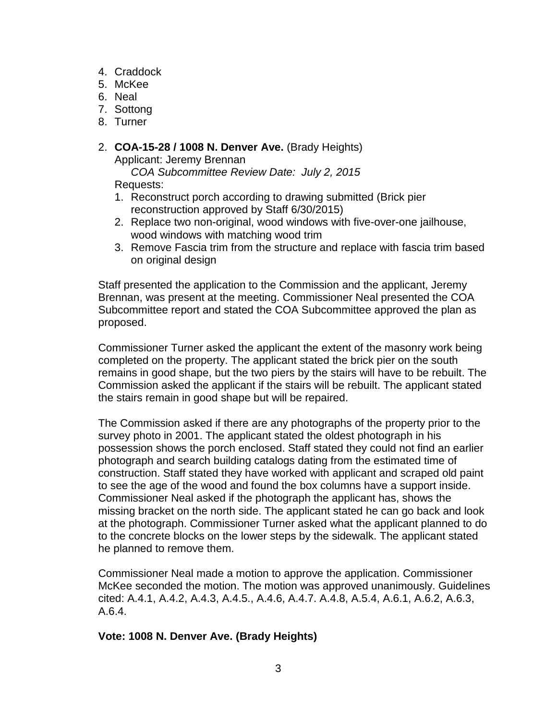- 4. Craddock
- 5. McKee
- 6. Neal
- 7. Sottong
- 8. Turner
- 2. **COA-15-28 / 1008 N. Denver Ave.** (Brady Heights) Applicant: Jeremy Brennan

 *COA Subcommittee Review Date: July 2, 2015* Requests:

- 1. Reconstruct porch according to drawing submitted (Brick pier reconstruction approved by Staff 6/30/2015)
- 2. Replace two non-original, wood windows with five-over-one jailhouse, wood windows with matching wood trim
- 3. Remove Fascia trim from the structure and replace with fascia trim based on original design

Staff presented the application to the Commission and the applicant, Jeremy Brennan, was present at the meeting. Commissioner Neal presented the COA Subcommittee report and stated the COA Subcommittee approved the plan as proposed.

Commissioner Turner asked the applicant the extent of the masonry work being completed on the property. The applicant stated the brick pier on the south remains in good shape, but the two piers by the stairs will have to be rebuilt. The Commission asked the applicant if the stairs will be rebuilt. The applicant stated the stairs remain in good shape but will be repaired.

The Commission asked if there are any photographs of the property prior to the survey photo in 2001. The applicant stated the oldest photograph in his possession shows the porch enclosed. Staff stated they could not find an earlier photograph and search building catalogs dating from the estimated time of construction. Staff stated they have worked with applicant and scraped old paint to see the age of the wood and found the box columns have a support inside. Commissioner Neal asked if the photograph the applicant has, shows the missing bracket on the north side. The applicant stated he can go back and look at the photograph. Commissioner Turner asked what the applicant planned to do to the concrete blocks on the lower steps by the sidewalk. The applicant stated he planned to remove them.

Commissioner Neal made a motion to approve the application. Commissioner McKee seconded the motion. The motion was approved unanimously. Guidelines cited: A.4.1, A.4.2, A.4.3, A.4.5., A.4.6, A.4.7. A.4.8, A.5.4, A.6.1, A.6.2, A.6.3, A.6.4.

### **Vote: 1008 N. Denver Ave. (Brady Heights)**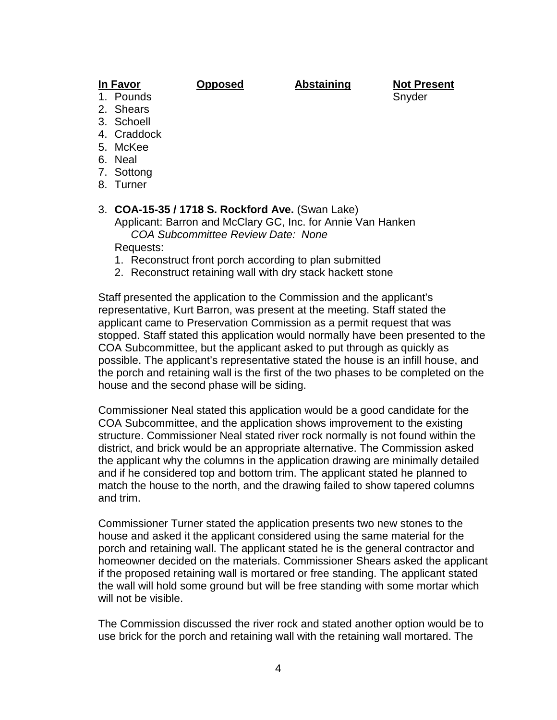**In Favor Opposed Abstaining Not Present** 1. Pounds Snyder Snyder Snyder Snyder Snyder

- 2. Shears
- 3. Schoell
- 4. Craddock
- 5. McKee
- 6. Neal
- 7. Sottong
- 
- 8. Turner

### 3. **COA-15-35 / 1718 S. Rockford Ave.** (Swan Lake)

Applicant: Barron and McClary GC, Inc. for Annie Van Hanken *COA Subcommittee Review Date: None*

Requests:

- 1. Reconstruct front porch according to plan submitted
- 2. Reconstruct retaining wall with dry stack hackett stone

Staff presented the application to the Commission and the applicant's representative, Kurt Barron, was present at the meeting. Staff stated the applicant came to Preservation Commission as a permit request that was stopped. Staff stated this application would normally have been presented to the COA Subcommittee, but the applicant asked to put through as quickly as possible. The applicant's representative stated the house is an infill house, and the porch and retaining wall is the first of the two phases to be completed on the house and the second phase will be siding.

Commissioner Neal stated this application would be a good candidate for the COA Subcommittee, and the application shows improvement to the existing structure. Commissioner Neal stated river rock normally is not found within the district, and brick would be an appropriate alternative. The Commission asked the applicant why the columns in the application drawing are minimally detailed and if he considered top and bottom trim. The applicant stated he planned to match the house to the north, and the drawing failed to show tapered columns and trim.

Commissioner Turner stated the application presents two new stones to the house and asked it the applicant considered using the same material for the porch and retaining wall. The applicant stated he is the general contractor and homeowner decided on the materials. Commissioner Shears asked the applicant if the proposed retaining wall is mortared or free standing. The applicant stated the wall will hold some ground but will be free standing with some mortar which will not be visible.

The Commission discussed the river rock and stated another option would be to use brick for the porch and retaining wall with the retaining wall mortared. The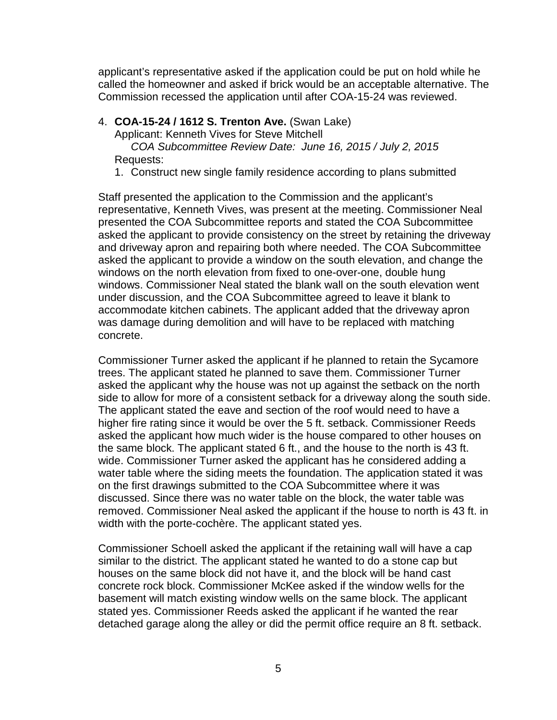applicant's representative asked if the application could be put on hold while he called the homeowner and asked if brick would be an acceptable alternative. The Commission recessed the application until after COA-15-24 was reviewed.

4. **COA-15-24 / 1612 S. Trenton Ave.** (Swan Lake)

Applicant: Kenneth Vives for Steve Mitchell

 *COA Subcommittee Review Date: June 16, 2015 / July 2, 2015* Requests:

1. Construct new single family residence according to plans submitted

Staff presented the application to the Commission and the applicant's representative, Kenneth Vives, was present at the meeting. Commissioner Neal presented the COA Subcommittee reports and stated the COA Subcommittee asked the applicant to provide consistency on the street by retaining the driveway and driveway apron and repairing both where needed. The COA Subcommittee asked the applicant to provide a window on the south elevation, and change the windows on the north elevation from fixed to one-over-one, double hung windows. Commissioner Neal stated the blank wall on the south elevation went under discussion, and the COA Subcommittee agreed to leave it blank to accommodate kitchen cabinets. The applicant added that the driveway apron was damage during demolition and will have to be replaced with matching concrete.

Commissioner Turner asked the applicant if he planned to retain the Sycamore trees. The applicant stated he planned to save them. Commissioner Turner asked the applicant why the house was not up against the setback on the north side to allow for more of a consistent setback for a driveway along the south side. The applicant stated the eave and section of the roof would need to have a higher fire rating since it would be over the 5 ft. setback. Commissioner Reeds asked the applicant how much wider is the house compared to other houses on the same block. The applicant stated 6 ft., and the house to the north is 43 ft. wide. Commissioner Turner asked the applicant has he considered adding a water table where the siding meets the foundation. The application stated it was on the first drawings submitted to the COA Subcommittee where it was discussed. Since there was no water table on the block, the water table was removed. Commissioner Neal asked the applicant if the house to north is 43 ft. in width with the porte-cochère. The applicant stated yes.

Commissioner Schoell asked the applicant if the retaining wall will have a cap similar to the district. The applicant stated he wanted to do a stone cap but houses on the same block did not have it, and the block will be hand cast concrete rock block. Commissioner McKee asked if the window wells for the basement will match existing window wells on the same block. The applicant stated yes. Commissioner Reeds asked the applicant if he wanted the rear detached garage along the alley or did the permit office require an 8 ft. setback.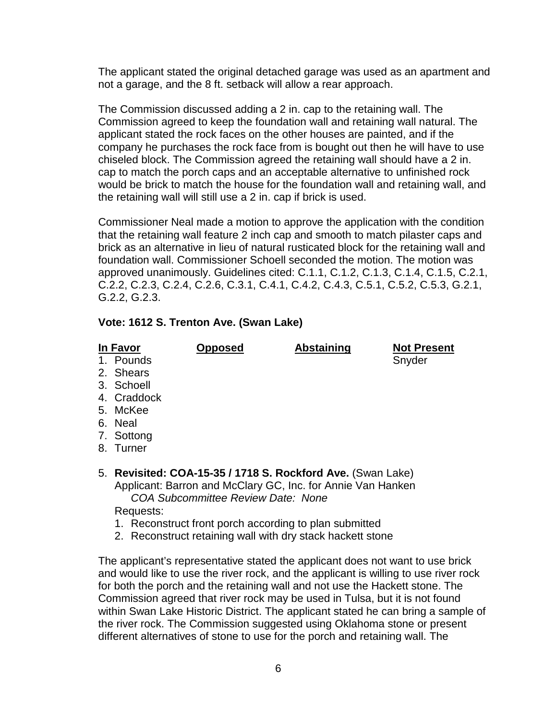The applicant stated the original detached garage was used as an apartment and not a garage, and the 8 ft. setback will allow a rear approach.

The Commission discussed adding a 2 in. cap to the retaining wall. The Commission agreed to keep the foundation wall and retaining wall natural. The applicant stated the rock faces on the other houses are painted, and if the company he purchases the rock face from is bought out then he will have to use chiseled block. The Commission agreed the retaining wall should have a 2 in. cap to match the porch caps and an acceptable alternative to unfinished rock would be brick to match the house for the foundation wall and retaining wall, and the retaining wall will still use a 2 in. cap if brick is used.

Commissioner Neal made a motion to approve the application with the condition that the retaining wall feature 2 inch cap and smooth to match pilaster caps and brick as an alternative in lieu of natural rusticated block for the retaining wall and foundation wall. Commissioner Schoell seconded the motion. The motion was approved unanimously. Guidelines cited: C.1.1, C.1.2, C.1.3, C.1.4, C.1.5, C.2.1, C.2.2, C.2.3, C.2.4, C.2.6, C.3.1, C.4.1, C.4.2, C.4.3, C.5.1, C.5.2, C.5.3, G.2.1, G.2.2, G.2.3.

### **Vote: 1612 S. Trenton Ave. (Swan Lake)**

**In Favor Opposed Abstaining Not Present**

- 1. Pounds Snyder Snyder Snyder
- 2. Shears
- 3. Schoell
- 4. Craddock
- 5. McKee
- 6. Neal
- 7. Sottong
- 8. Turner
- 5. **Revisited: COA-15-35 / 1718 S. Rockford Ave.** (Swan Lake) Applicant: Barron and McClary GC, Inc. for Annie Van Hanken *COA Subcommittee Review Date: None*

Requests:

- 1. Reconstruct front porch according to plan submitted
- 2. Reconstruct retaining wall with dry stack hackett stone

The applicant's representative stated the applicant does not want to use brick and would like to use the river rock, and the applicant is willing to use river rock for both the porch and the retaining wall and not use the Hackett stone. The Commission agreed that river rock may be used in Tulsa, but it is not found within Swan Lake Historic District. The applicant stated he can bring a sample of the river rock. The Commission suggested using Oklahoma stone or present different alternatives of stone to use for the porch and retaining wall. The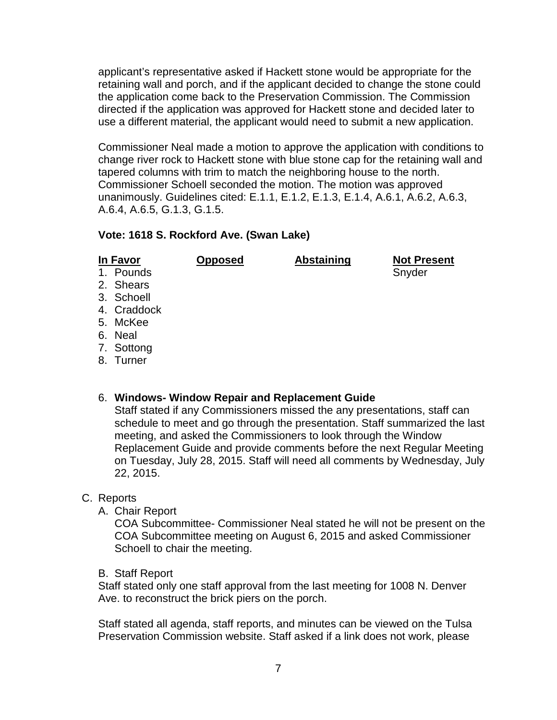applicant's representative asked if Hackett stone would be appropriate for the retaining wall and porch, and if the applicant decided to change the stone could the application come back to the Preservation Commission. The Commission directed if the application was approved for Hackett stone and decided later to use a different material, the applicant would need to submit a new application.

Commissioner Neal made a motion to approve the application with conditions to change river rock to Hackett stone with blue stone cap for the retaining wall and tapered columns with trim to match the neighboring house to the north. Commissioner Schoell seconded the motion. The motion was approved unanimously. Guidelines cited: E.1.1, E.1.2, E.1.3, E.1.4, A.6.1, A.6.2, A.6.3, A.6.4, A.6.5, G.1.3, G.1.5.

### **Vote: 1618 S. Rockford Ave. (Swan Lake)**

| In Favor    | <b>Opposed</b> | <b>Abstaining</b> | <b>Not Present</b> |
|-------------|----------------|-------------------|--------------------|
| 1. Pounds   |                |                   | Snyder             |
| 2. Shears   |                |                   |                    |
| 3. Schoell  |                |                   |                    |
| 4. Craddock |                |                   |                    |
| 5. McKee    |                |                   |                    |
| 6. Neal     |                |                   |                    |
| 7. Sottong  |                |                   |                    |
| $O$ Turnor  |                |                   |                    |

### 8. Turner

### 6. **Windows- Window Repair and Replacement Guide**

Staff stated if any Commissioners missed the any presentations, staff can schedule to meet and go through the presentation. Staff summarized the last meeting, and asked the Commissioners to look through the Window Replacement Guide and provide comments before the next Regular Meeting on Tuesday, July 28, 2015. Staff will need all comments by Wednesday, July 22, 2015.

### C. Reports

A. Chair Report

COA Subcommittee- Commissioner Neal stated he will not be present on the COA Subcommittee meeting on August 6, 2015 and asked Commissioner Schoell to chair the meeting.

B. Staff Report

Staff stated only one staff approval from the last meeting for 1008 N. Denver Ave. to reconstruct the brick piers on the porch.

Staff stated all agenda, staff reports, and minutes can be viewed on the Tulsa Preservation Commission website. Staff asked if a link does not work, please